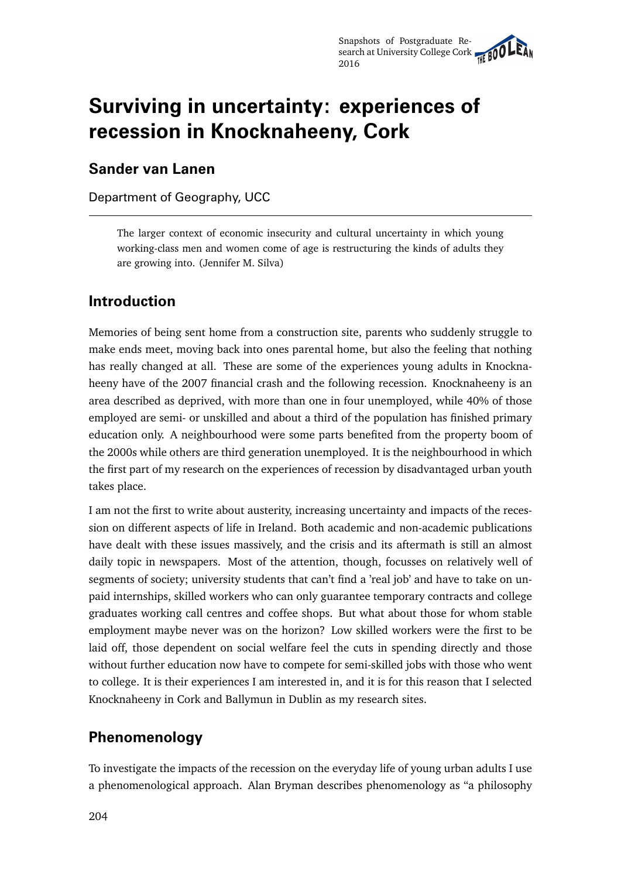# **Surviving in uncertainty: experiences of recession in Knocknaheeny, Cork**

#### **Sander van Lanen**

Department of Geography, UCC

The larger context of economic insecurity and cultural uncertainty in which young working-class men and women come of age is restructuring the kinds of adults they are growing into. (Jennifer M. Silva)

## **Introduction**

Memories of being sent home from a construction site, parents who suddenly struggle to make ends meet, moving back into ones parental home, but also the feeling that nothing has really changed at all. These are some of the experiences young adults in Knocknaheeny have of the 2007 financial crash and the following recession. Knocknaheeny is an area described as deprived, with more than one in four unemployed, while 40% of those employed are semi- or unskilled and about a third of the population has finished primary education only. A neighbourhood were some parts benefited from the property boom of the 2000s while others are third generation unemployed. It is the neighbourhood in which the first part of my research on the experiences of recession by disadvantaged urban youth takes place.

I am not the first to write about austerity, increasing uncertainty and impacts of the recession on different aspects of life in Ireland. Both academic and non-academic publications have dealt with these issues massively, and the crisis and its aftermath is still an almost daily topic in newspapers. Most of the attention, though, focusses on relatively well of segments of society; university students that can't find a 'real job' and have to take on unpaid internships, skilled workers who can only guarantee temporary contracts and college graduates working call centres and coffee shops. But what about those for whom stable employment maybe never was on the horizon? Low skilled workers were the first to be laid off, those dependent on social welfare feel the cuts in spending directly and those without further education now have to compete for semi-skilled jobs with those who went to college. It is their experiences I am interested in, and it is for this reason that I selected Knocknaheeny in Cork and Ballymun in Dublin as my research sites.

#### **Phenomenology**

To investigate the impacts of the recession on the everyday life of young urban adults I use a phenomenological approach. Alan Bryman describes phenomenology as "a philosophy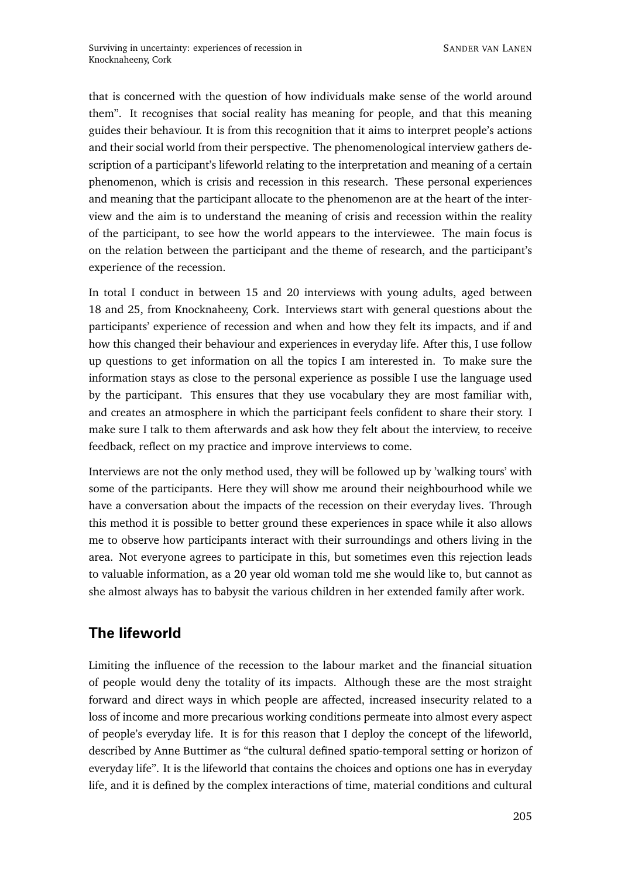that is concerned with the question of how individuals make sense of the world around them". It recognises that social reality has meaning for people, and that this meaning guides their behaviour. It is from this recognition that it aims to interpret people's actions and their social world from their perspective. The phenomenological interview gathers description of a participant's lifeworld relating to the interpretation and meaning of a certain phenomenon, which is crisis and recession in this research. These personal experiences and meaning that the participant allocate to the phenomenon are at the heart of the interview and the aim is to understand the meaning of crisis and recession within the reality of the participant, to see how the world appears to the interviewee. The main focus is on the relation between the participant and the theme of research, and the participant's experience of the recession.

In total I conduct in between 15 and 20 interviews with young adults, aged between 18 and 25, from Knocknaheeny, Cork. Interviews start with general questions about the participants' experience of recession and when and how they felt its impacts, and if and how this changed their behaviour and experiences in everyday life. After this, I use follow up questions to get information on all the topics I am interested in. To make sure the information stays as close to the personal experience as possible I use the language used by the participant. This ensures that they use vocabulary they are most familiar with, and creates an atmosphere in which the participant feels confident to share their story. I make sure I talk to them afterwards and ask how they felt about the interview, to receive feedback, reflect on my practice and improve interviews to come.

Interviews are not the only method used, they will be followed up by 'walking tours' with some of the participants. Here they will show me around their neighbourhood while we have a conversation about the impacts of the recession on their everyday lives. Through this method it is possible to better ground these experiences in space while it also allows me to observe how participants interact with their surroundings and others living in the area. Not everyone agrees to participate in this, but sometimes even this rejection leads to valuable information, as a 20 year old woman told me she would like to, but cannot as she almost always has to babysit the various children in her extended family after work.

# **The lifeworld**

Limiting the influence of the recession to the labour market and the financial situation of people would deny the totality of its impacts. Although these are the most straight forward and direct ways in which people are affected, increased insecurity related to a loss of income and more precarious working conditions permeate into almost every aspect of people's everyday life. It is for this reason that I deploy the concept of the lifeworld, described by Anne Buttimer as "the cultural defined spatio-temporal setting or horizon of everyday life". It is the lifeworld that contains the choices and options one has in everyday life, and it is defined by the complex interactions of time, material conditions and cultural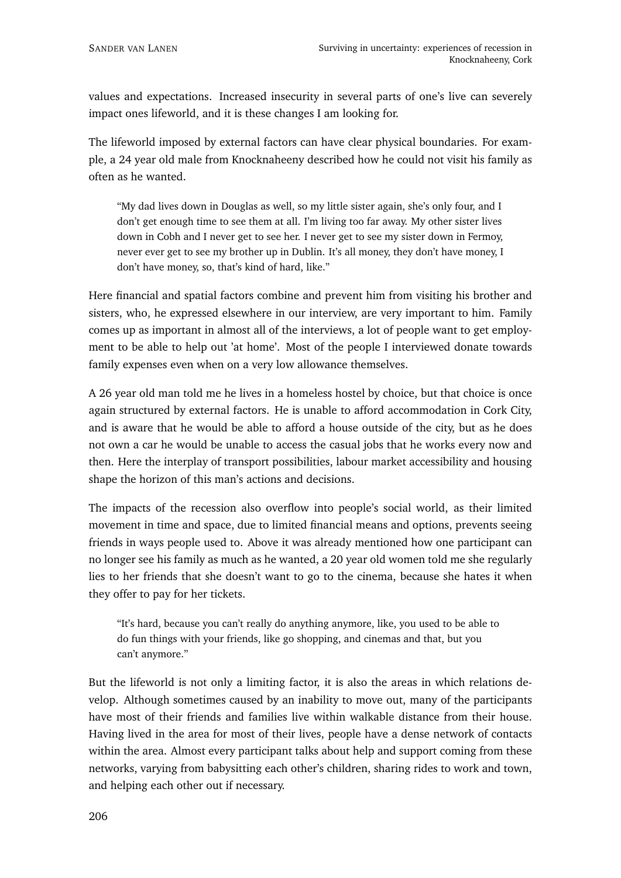values and expectations. Increased insecurity in several parts of one's live can severely impact ones lifeworld, and it is these changes I am looking for.

The lifeworld imposed by external factors can have clear physical boundaries. For example, a 24 year old male from Knocknaheeny described how he could not visit his family as often as he wanted.

"My dad lives down in Douglas as well, so my little sister again, she's only four, and I don't get enough time to see them at all. I'm living too far away. My other sister lives down in Cobh and I never get to see her. I never get to see my sister down in Fermoy, never ever get to see my brother up in Dublin. It's all money, they don't have money, I don't have money, so, that's kind of hard, like."

Here financial and spatial factors combine and prevent him from visiting his brother and sisters, who, he expressed elsewhere in our interview, are very important to him. Family comes up as important in almost all of the interviews, a lot of people want to get employment to be able to help out 'at home'. Most of the people I interviewed donate towards family expenses even when on a very low allowance themselves.

A 26 year old man told me he lives in a homeless hostel by choice, but that choice is once again structured by external factors. He is unable to afford accommodation in Cork City, and is aware that he would be able to afford a house outside of the city, but as he does not own a car he would be unable to access the casual jobs that he works every now and then. Here the interplay of transport possibilities, labour market accessibility and housing shape the horizon of this man's actions and decisions.

The impacts of the recession also overflow into people's social world, as their limited movement in time and space, due to limited financial means and options, prevents seeing friends in ways people used to. Above it was already mentioned how one participant can no longer see his family as much as he wanted, a 20 year old women told me she regularly lies to her friends that she doesn't want to go to the cinema, because she hates it when they offer to pay for her tickets.

"It's hard, because you can't really do anything anymore, like, you used to be able to do fun things with your friends, like go shopping, and cinemas and that, but you can't anymore."

But the lifeworld is not only a limiting factor, it is also the areas in which relations develop. Although sometimes caused by an inability to move out, many of the participants have most of their friends and families live within walkable distance from their house. Having lived in the area for most of their lives, people have a dense network of contacts within the area. Almost every participant talks about help and support coming from these networks, varying from babysitting each other's children, sharing rides to work and town, and helping each other out if necessary.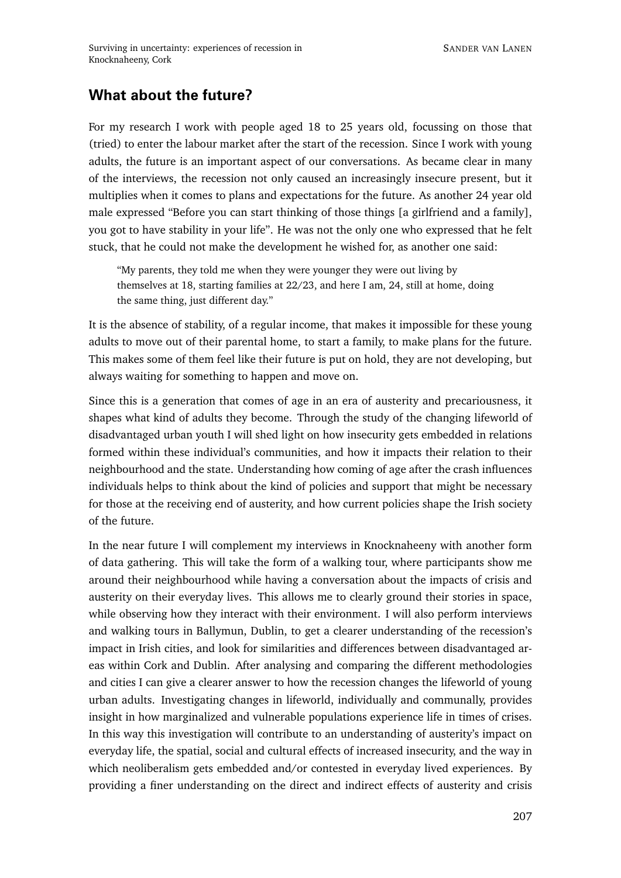## **What about the future?**

For my research I work with people aged 18 to 25 years old, focussing on those that (tried) to enter the labour market after the start of the recession. Since I work with young adults, the future is an important aspect of our conversations. As became clear in many of the interviews, the recession not only caused an increasingly insecure present, but it multiplies when it comes to plans and expectations for the future. As another 24 year old male expressed "Before you can start thinking of those things [a girlfriend and a family], you got to have stability in your life". He was not the only one who expressed that he felt stuck, that he could not make the development he wished for, as another one said:

"My parents, they told me when they were younger they were out living by themselves at 18, starting families at 22/23, and here I am, 24, still at home, doing the same thing, just different day."

It is the absence of stability, of a regular income, that makes it impossible for these young adults to move out of their parental home, to start a family, to make plans for the future. This makes some of them feel like their future is put on hold, they are not developing, but always waiting for something to happen and move on.

Since this is a generation that comes of age in an era of austerity and precariousness, it shapes what kind of adults they become. Through the study of the changing lifeworld of disadvantaged urban youth I will shed light on how insecurity gets embedded in relations formed within these individual's communities, and how it impacts their relation to their neighbourhood and the state. Understanding how coming of age after the crash influences individuals helps to think about the kind of policies and support that might be necessary for those at the receiving end of austerity, and how current policies shape the Irish society of the future.

In the near future I will complement my interviews in Knocknaheeny with another form of data gathering. This will take the form of a walking tour, where participants show me around their neighbourhood while having a conversation about the impacts of crisis and austerity on their everyday lives. This allows me to clearly ground their stories in space, while observing how they interact with their environment. I will also perform interviews and walking tours in Ballymun, Dublin, to get a clearer understanding of the recession's impact in Irish cities, and look for similarities and differences between disadvantaged areas within Cork and Dublin. After analysing and comparing the different methodologies and cities I can give a clearer answer to how the recession changes the lifeworld of young urban adults. Investigating changes in lifeworld, individually and communally, provides insight in how marginalized and vulnerable populations experience life in times of crises. In this way this investigation will contribute to an understanding of austerity's impact on everyday life, the spatial, social and cultural effects of increased insecurity, and the way in which neoliberalism gets embedded and/or contested in everyday lived experiences. By providing a finer understanding on the direct and indirect effects of austerity and crisis